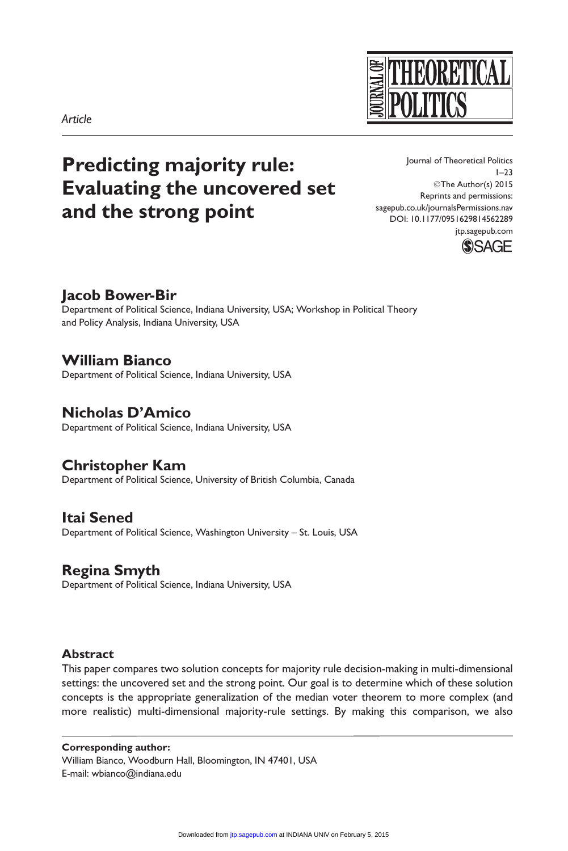

# Predicting majority rule: Evaluating the uncovered set and the strong point

Journal of Theoretical Politics 1–23 ©The Author(s) 2015 Reprints and permissions: sagepub.co.uk/journalsPermissions.nav DOI: 10.1177/0951629814562289 jtp.sagepub.com



## Jacob Bower-Bir

Department of Political Science, Indiana University, USA; Workshop in Political Theory and Policy Analysis, Indiana University, USA

## William Bianco

Department of Political Science, Indiana University, USA

### Nicholas D'Amico

Department of Political Science, Indiana University, USA

### Christopher Kam

Department of Political Science, University of British Columbia, Canada

Itai Sened

Department of Political Science, Washington University – St. Louis, USA

# Regina Smyth

Department of Political Science, Indiana University, USA

### Abstract

This paper compares two solution concepts for majority rule decision-making in multi-dimensional settings: the uncovered set and the strong point. Our goal is to determine which of these solution concepts is the appropriate generalization of the median voter theorem to more complex (and more realistic) multi-dimensional majority-rule settings. By making this comparison, we also

Corresponding author: William Bianco, Woodburn Hall, Bloomington, IN 47401, USA E-mail: wbianco@indiana.edu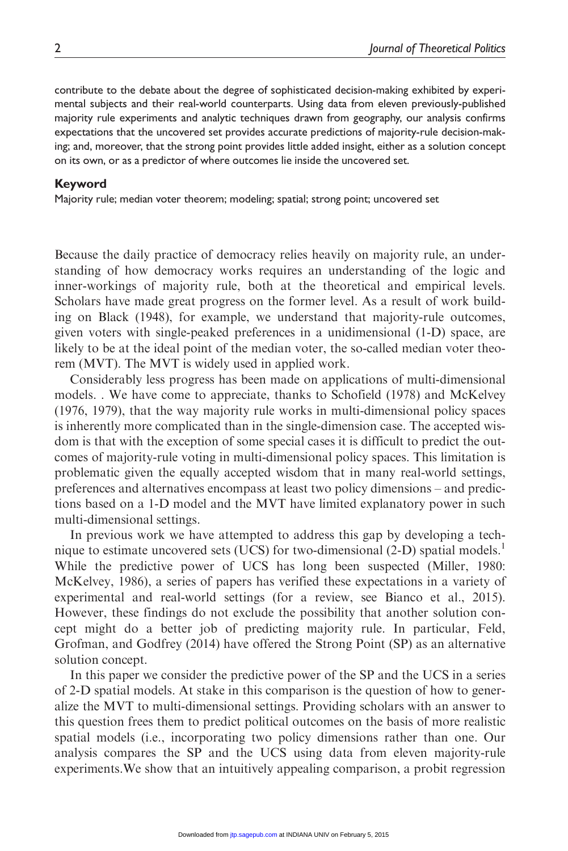contribute to the debate about the degree of sophisticated decision-making exhibited by experimental subjects and their real-world counterparts. Using data from eleven previously-published majority rule experiments and analytic techniques drawn from geography, our analysis confirms expectations that the uncovered set provides accurate predictions of majority-rule decision-making; and, moreover, that the strong point provides little added insight, either as a solution concept on its own, or as a predictor of where outcomes lie inside the uncovered set.

#### Keyword

Majority rule; median voter theorem; modeling; spatial; strong point; uncovered set

Because the daily practice of democracy relies heavily on majority rule, an understanding of how democracy works requires an understanding of the logic and inner-workings of majority rule, both at the theoretical and empirical levels. Scholars have made great progress on the former level. As a result of work building on Black (1948), for example, we understand that majority-rule outcomes, given voters with single-peaked preferences in a unidimensional (1-D) space, are likely to be at the ideal point of the median voter, the so-called median voter theorem (MVT). The MVT is widely used in applied work.

Considerably less progress has been made on applications of multi-dimensional models. . We have come to appreciate, thanks to Schofield (1978) and McKelvey (1976, 1979), that the way majority rule works in multi-dimensional policy spaces is inherently more complicated than in the single-dimension case. The accepted wisdom is that with the exception of some special cases it is difficult to predict the outcomes of majority-rule voting in multi-dimensional policy spaces. This limitation is problematic given the equally accepted wisdom that in many real-world settings, preferences and alternatives encompass at least two policy dimensions – and predictions based on a 1-D model and the MVT have limited explanatory power in such multi-dimensional settings.

In previous work we have attempted to address this gap by developing a technique to estimate uncovered sets (UCS) for two-dimensional (2-D) spatial models.<sup>1</sup> While the predictive power of UCS has long been suspected (Miller, 1980: McKelvey, 1986), a series of papers has verified these expectations in a variety of experimental and real-world settings (for a review, see Bianco et al., 2015). However, these findings do not exclude the possibility that another solution concept might do a better job of predicting majority rule. In particular, Feld, Grofman, and Godfrey (2014) have offered the Strong Point (SP) as an alternative solution concept.

In this paper we consider the predictive power of the SP and the UCS in a series of 2-D spatial models. At stake in this comparison is the question of how to generalize the MVT to multi-dimensional settings. Providing scholars with an answer to this question frees them to predict political outcomes on the basis of more realistic spatial models (i.e., incorporating two policy dimensions rather than one. Our analysis compares the SP and the UCS using data from eleven majority-rule experiments.We show that an intuitively appealing comparison, a probit regression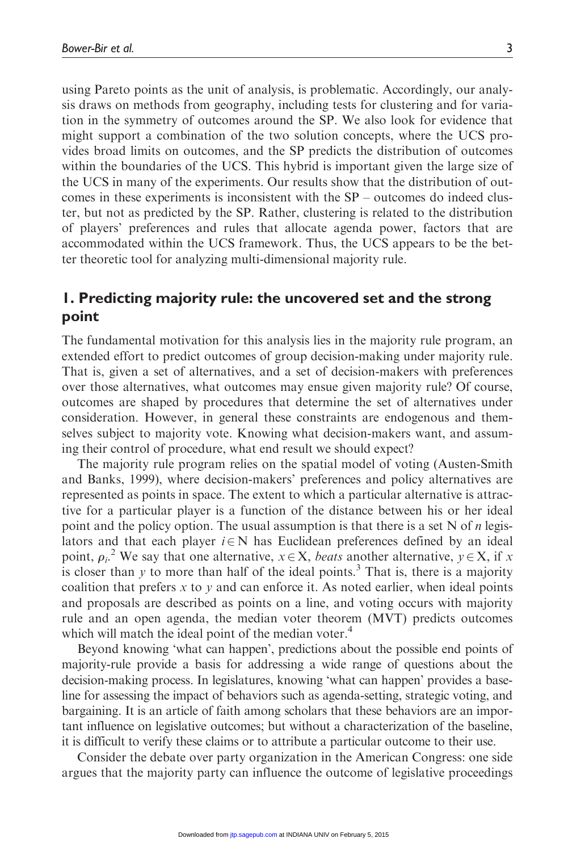using Pareto points as the unit of analysis, is problematic. Accordingly, our analysis draws on methods from geography, including tests for clustering and for variation in the symmetry of outcomes around the SP. We also look for evidence that might support a combination of the two solution concepts, where the UCS provides broad limits on outcomes, and the SP predicts the distribution of outcomes within the boundaries of the UCS. This hybrid is important given the large size of the UCS in many of the experiments. Our results show that the distribution of outcomes in these experiments is inconsistent with the SP – outcomes do indeed cluster, but not as predicted by the SP. Rather, clustering is related to the distribution of players' preferences and rules that allocate agenda power, factors that are accommodated within the UCS framework. Thus, the UCS appears to be the better theoretic tool for analyzing multi-dimensional majority rule.

### 1. Predicting majority rule: the uncovered set and the strong point

The fundamental motivation for this analysis lies in the majority rule program, an extended effort to predict outcomes of group decision-making under majority rule. That is, given a set of alternatives, and a set of decision-makers with preferences over those alternatives, what outcomes may ensue given majority rule? Of course, outcomes are shaped by procedures that determine the set of alternatives under consideration. However, in general these constraints are endogenous and themselves subject to majority vote. Knowing what decision-makers want, and assuming their control of procedure, what end result we should expect?

The majority rule program relies on the spatial model of voting (Austen-Smith and Banks, 1999), where decision-makers' preferences and policy alternatives are represented as points in space. The extent to which a particular alternative is attractive for a particular player is a function of the distance between his or her ideal point and the policy option. The usual assumption is that there is a set N of  $n$  legislators and that each player  $i \in N$  has Euclidean preferences defined by an ideal point,  $\rho_i$ .<sup>2</sup> We say that one alternative,  $x \in X$ , *beats* another alternative,  $y \in X$ , if x is closer than y to more than half of the ideal points.<sup>3</sup> That is, there is a majority coalition that prefers x to y and can enforce it. As noted earlier, when ideal points and proposals are described as points on a line, and voting occurs with majority rule and an open agenda, the median voter theorem (MVT) predicts outcomes which will match the ideal point of the median voter.<sup>4</sup>

Beyond knowing 'what can happen', predictions about the possible end points of majority-rule provide a basis for addressing a wide range of questions about the decision-making process. In legislatures, knowing 'what can happen' provides a baseline for assessing the impact of behaviors such as agenda-setting, strategic voting, and bargaining. It is an article of faith among scholars that these behaviors are an important influence on legislative outcomes; but without a characterization of the baseline, it is difficult to verify these claims or to attribute a particular outcome to their use.

Consider the debate over party organization in the American Congress: one side argues that the majority party can influence the outcome of legislative proceedings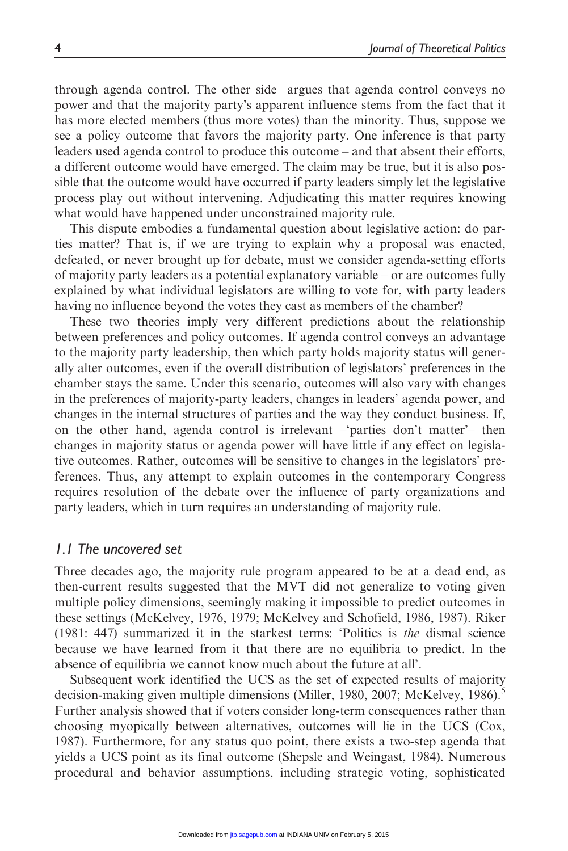through agenda control. The other side argues that agenda control conveys no power and that the majority party's apparent influence stems from the fact that it has more elected members (thus more votes) than the minority. Thus, suppose we see a policy outcome that favors the majority party. One inference is that party leaders used agenda control to produce this outcome – and that absent their efforts, a different outcome would have emerged. The claim may be true, but it is also possible that the outcome would have occurred if party leaders simply let the legislative process play out without intervening. Adjudicating this matter requires knowing what would have happened under unconstrained majority rule.

This dispute embodies a fundamental question about legislative action: do parties matter? That is, if we are trying to explain why a proposal was enacted, defeated, or never brought up for debate, must we consider agenda-setting efforts of majority party leaders as a potential explanatory variable – or are outcomes fully explained by what individual legislators are willing to vote for, with party leaders having no influence beyond the votes they cast as members of the chamber?

These two theories imply very different predictions about the relationship between preferences and policy outcomes. If agenda control conveys an advantage to the majority party leadership, then which party holds majority status will generally alter outcomes, even if the overall distribution of legislators' preferences in the chamber stays the same. Under this scenario, outcomes will also vary with changes in the preferences of majority-party leaders, changes in leaders' agenda power, and changes in the internal structures of parties and the way they conduct business. If, on the other hand, agenda control is irrelevant –'parties don't matter'– then changes in majority status or agenda power will have little if any effect on legislative outcomes. Rather, outcomes will be sensitive to changes in the legislators' preferences. Thus, any attempt to explain outcomes in the contemporary Congress requires resolution of the debate over the influence of party organizations and party leaders, which in turn requires an understanding of majority rule.

#### 1.1 The uncovered set

Three decades ago, the majority rule program appeared to be at a dead end, as then-current results suggested that the MVT did not generalize to voting given multiple policy dimensions, seemingly making it impossible to predict outcomes in these settings (McKelvey, 1976, 1979; McKelvey and Schofield, 1986, 1987). Riker (1981: 447) summarized it in the starkest terms: 'Politics is the dismal science because we have learned from it that there are no equilibria to predict. In the absence of equilibria we cannot know much about the future at all'.

Subsequent work identified the UCS as the set of expected results of majority decision-making given multiple dimensions (Miller, 1980, 2007; McKelvey, 1986).<sup>5</sup> Further analysis showed that if voters consider long-term consequences rather than choosing myopically between alternatives, outcomes will lie in the UCS (Cox, 1987). Furthermore, for any status quo point, there exists a two-step agenda that yields a UCS point as its final outcome (Shepsle and Weingast, 1984). Numerous procedural and behavior assumptions, including strategic voting, sophisticated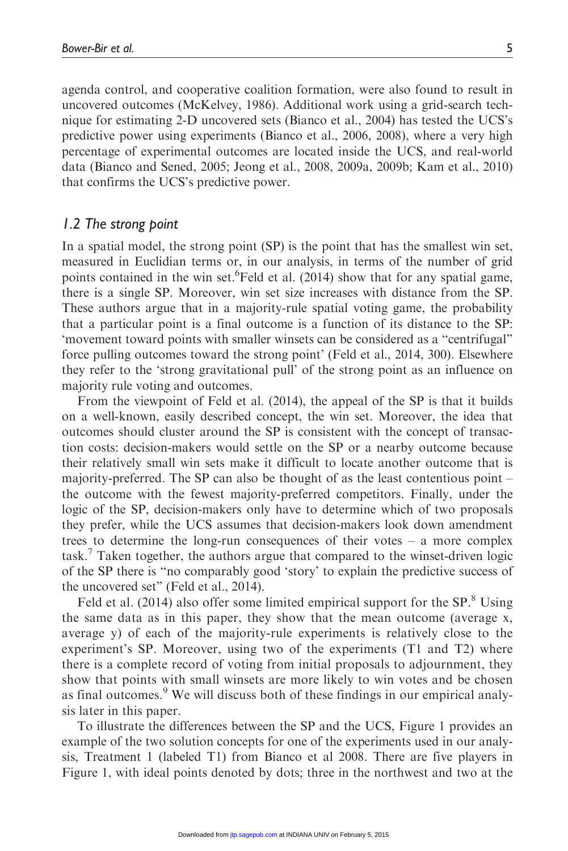agenda control, and cooperative coalition formation, were also found to result in uncovered outcomes (McKelvey, 1986). Additional work using a grid-search technique for estimating 2-D uncovered sets (Bianco et al., 2004) has tested the UCS's predictive power using experiments (Bianco et al., 2006, 2008), where a very high percentage of experimental outcomes are located inside the UCS, and real-world data (Bianco and Sened, 2005; Jeong et al., 2008, 2009a, 2009b; Kam et al., 2010) that confirms the UCS's predictive power.

#### 1.2 The strong point

In a spatial model, the strong point (SP) is the point that has the smallest win set, measured in Euclidian terms or, in our analysis, in terms of the number of grid points contained in the win set. <sup>6</sup>Feld et al. (2014) show that for any spatial game, there is a single SP. Moreover, win set size increases with distance from the SP. These authors argue that in a majority-rule spatial voting game, the probability that a particular point is a final outcome is a function of its distance to the SP: 'movement toward points with smaller winsets can be considered as a ''centrifugal'' force pulling outcomes toward the strong point' (Feld et al., 2014, 300). Elsewhere they refer to the 'strong gravitational pull' of the strong point as an influence on majority rule voting and outcomes.

From the viewpoint of Feld et al. (2014), the appeal of the SP is that it builds on a well-known, easily described concept, the win set. Moreover, the idea that outcomes should cluster around the SP is consistent with the concept of transaction costs: decision-makers would settle on the SP or a nearby outcome because their relatively small win sets make it difficult to locate another outcome that is majority-preferred. The SP can also be thought of as the least contentious point – the outcome with the fewest majority-preferred competitors. Finally, under the logic of the SP, decision-makers only have to determine which of two proposals they prefer, while the UCS assumes that decision-makers look down amendment trees to determine the long-run consequences of their votes – a more complex task.7 Taken together, the authors argue that compared to the winset-driven logic of the SP there is ''no comparably good 'story' to explain the predictive success of the uncovered set'' (Feld et al., 2014).

Feld et al. (2014) also offer some limited empirical support for the SP. $8$  Using the same data as in this paper, they show that the mean outcome (average x, average y) of each of the majority-rule experiments is relatively close to the experiment's SP. Moreover, using two of the experiments (T1 and T2) where there is a complete record of voting from initial proposals to adjournment, they show that points with small winsets are more likely to win votes and be chosen as final outcomes.<sup>9</sup> We will discuss both of these findings in our empirical analysis later in this paper.

To illustrate the differences between the SP and the UCS, Figure 1 provides an example of the two solution concepts for one of the experiments used in our analysis, Treatment 1 (labeled T1) from Bianco et al 2008. There are five players in Figure 1, with ideal points denoted by dots; three in the northwest and two at the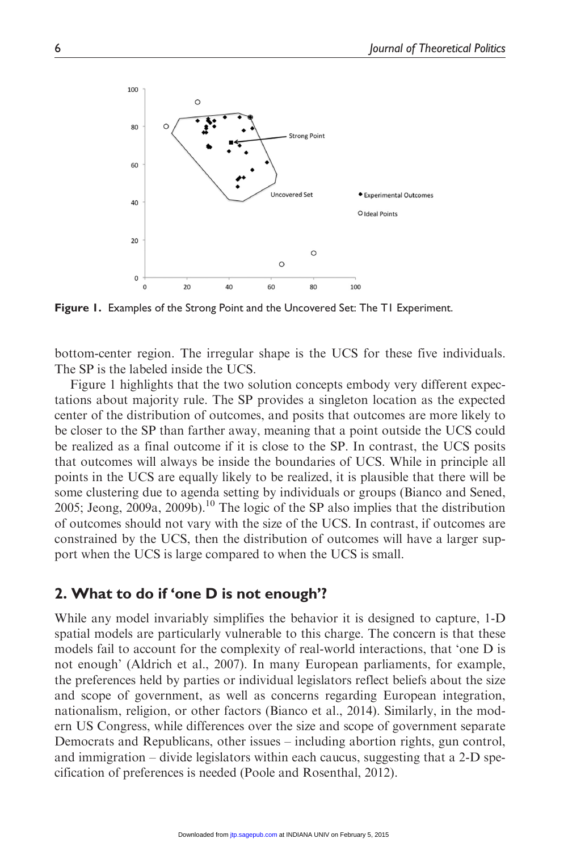

Figure 1. Examples of the Strong Point and the Uncovered Set: The T1 Experiment.

bottom-center region. The irregular shape is the UCS for these five individuals. The SP is the labeled inside the UCS.

Figure 1 highlights that the two solution concepts embody very different expectations about majority rule. The SP provides a singleton location as the expected center of the distribution of outcomes, and posits that outcomes are more likely to be closer to the SP than farther away, meaning that a point outside the UCS could be realized as a final outcome if it is close to the SP. In contrast, the UCS posits that outcomes will always be inside the boundaries of UCS. While in principle all points in the UCS are equally likely to be realized, it is plausible that there will be some clustering due to agenda setting by individuals or groups (Bianco and Sened, 2005; Jeong, 2009a, 2009b).10 The logic of the SP also implies that the distribution of outcomes should not vary with the size of the UCS. In contrast, if outcomes are constrained by the UCS, then the distribution of outcomes will have a larger support when the UCS is large compared to when the UCS is small.

### 2. What to do if 'one D is not enough'?

While any model invariably simplifies the behavior it is designed to capture, 1-D spatial models are particularly vulnerable to this charge. The concern is that these models fail to account for the complexity of real-world interactions, that 'one D is not enough' (Aldrich et al., 2007). In many European parliaments, for example, the preferences held by parties or individual legislators reflect beliefs about the size and scope of government, as well as concerns regarding European integration, nationalism, religion, or other factors (Bianco et al., 2014). Similarly, in the modern US Congress, while differences over the size and scope of government separate Democrats and Republicans, other issues – including abortion rights, gun control, and immigration – divide legislators within each caucus, suggesting that a 2-D specification of preferences is needed (Poole and Rosenthal, 2012).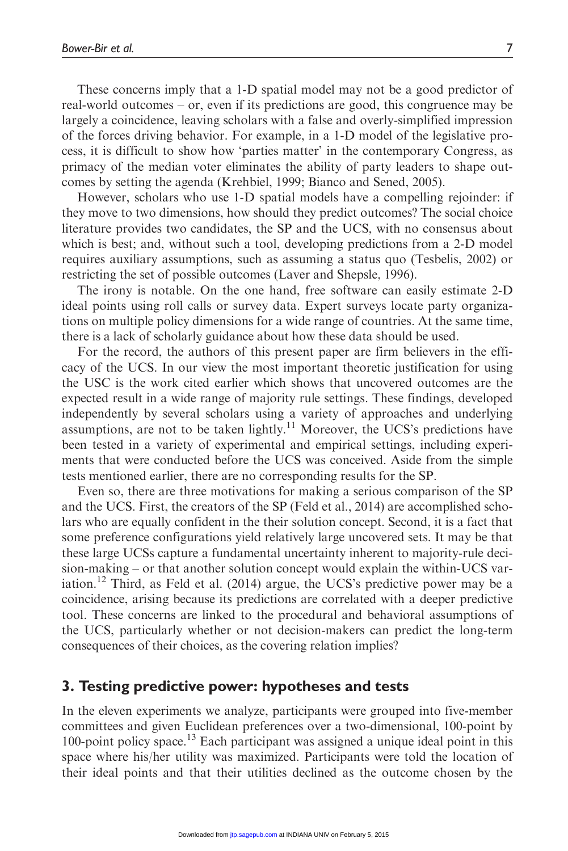These concerns imply that a 1-D spatial model may not be a good predictor of real-world outcomes – or, even if its predictions are good, this congruence may be largely a coincidence, leaving scholars with a false and overly-simplified impression of the forces driving behavior. For example, in a 1-D model of the legislative process, it is difficult to show how 'parties matter' in the contemporary Congress, as primacy of the median voter eliminates the ability of party leaders to shape outcomes by setting the agenda (Krehbiel, 1999; Bianco and Sened, 2005).

However, scholars who use 1-D spatial models have a compelling rejoinder: if they move to two dimensions, how should they predict outcomes? The social choice literature provides two candidates, the SP and the UCS, with no consensus about which is best; and, without such a tool, developing predictions from a 2-D model requires auxiliary assumptions, such as assuming a status quo (Tesbelis, 2002) or restricting the set of possible outcomes (Laver and Shepsle, 1996).

The irony is notable. On the one hand, free software can easily estimate 2-D ideal points using roll calls or survey data. Expert surveys locate party organizations on multiple policy dimensions for a wide range of countries. At the same time, there is a lack of scholarly guidance about how these data should be used.

For the record, the authors of this present paper are firm believers in the efficacy of the UCS. In our view the most important theoretic justification for using the USC is the work cited earlier which shows that uncovered outcomes are the expected result in a wide range of majority rule settings. These findings, developed independently by several scholars using a variety of approaches and underlying assumptions, are not to be taken lightly.11 Moreover, the UCS's predictions have been tested in a variety of experimental and empirical settings, including experiments that were conducted before the UCS was conceived. Aside from the simple tests mentioned earlier, there are no corresponding results for the SP.

Even so, there are three motivations for making a serious comparison of the SP and the UCS. First, the creators of the SP (Feld et al., 2014) are accomplished scholars who are equally confident in the their solution concept. Second, it is a fact that some preference configurations yield relatively large uncovered sets. It may be that these large UCSs capture a fundamental uncertainty inherent to majority-rule decision-making – or that another solution concept would explain the within-UCS variation.<sup>12</sup> Third, as Feld et al. (2014) argue, the UCS's predictive power may be a coincidence, arising because its predictions are correlated with a deeper predictive tool. These concerns are linked to the procedural and behavioral assumptions of the UCS, particularly whether or not decision-makers can predict the long-term consequences of their choices, as the covering relation implies?

#### 3. Testing predictive power: hypotheses and tests

In the eleven experiments we analyze, participants were grouped into five-member committees and given Euclidean preferences over a two-dimensional, 100-point by 100-point policy space.<sup>13</sup> Each participant was assigned a unique ideal point in this space where his/her utility was maximized. Participants were told the location of their ideal points and that their utilities declined as the outcome chosen by the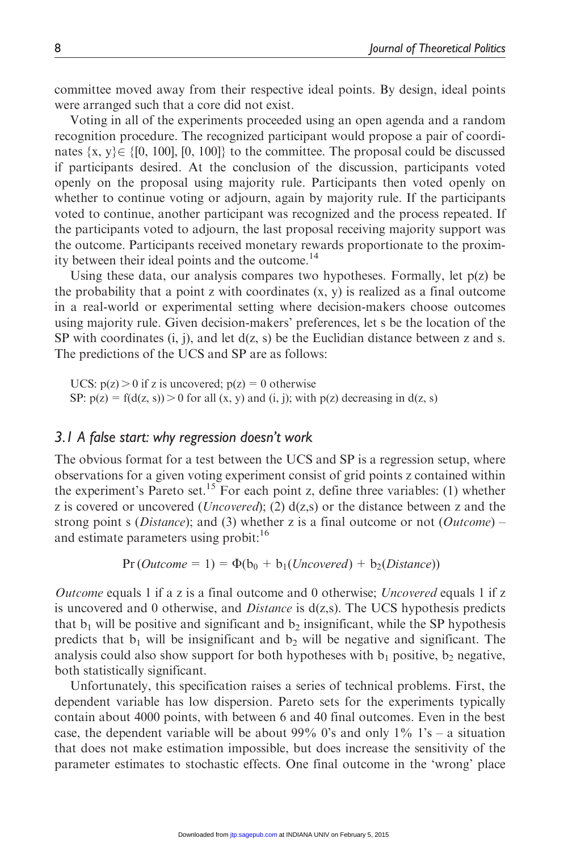committee moved away from their respective ideal points. By design, ideal points were arranged such that a core did not exist.

Voting in all of the experiments proceeded using an open agenda and a random recognition procedure. The recognized participant would propose a pair of coordinates  $\{x, y\} \in \{[0, 100], [0, 100]\}\$  to the committee. The proposal could be discussed if participants desired. At the conclusion of the discussion, participants voted openly on the proposal using majority rule. Participants then voted openly on whether to continue voting or adjourn, again by majority rule. If the participants voted to continue, another participant was recognized and the process repeated. If the participants voted to adjourn, the last proposal receiving majority support was the outcome. Participants received monetary rewards proportionate to the proximity between their ideal points and the outcome.<sup>14</sup>

Using these data, our analysis compares two hypotheses. Formally, let  $p(z)$  be the probability that a point z with coordinates  $(x, y)$  is realized as a final outcome in a real-world or experimental setting where decision-makers choose outcomes using majority rule. Given decision-makers' preferences, let s be the location of the SP with coordinates  $(i, j)$ , and let  $d(z, s)$  be the Euclidian distance between z and s. The predictions of the UCS and SP are as follows:

UCS:  $p(z) > 0$  if z is uncovered;  $p(z) = 0$  otherwise SP:  $p(z) = f(d(z, s)) > 0$  for all  $(x, y)$  and  $(i, j)$ ; with  $p(z)$  decreasing in  $d(z, s)$ 

### 3.1 A false start: why regression doesn't work

The obvious format for a test between the UCS and SP is a regression setup, where observations for a given voting experiment consist of grid points z contained within the experiment's Pareto set.<sup>15</sup> For each point z, define three variables: (1) whether z is covered or uncovered (*Uncovered*); (2)  $d(z,s)$  or the distance between z and the strong point s (*Distance*); and (3) whether z is a final outcome or not (*Outcome*) – and estimate parameters using probit:<sup>16</sup>

 $Pr(Outcome=1) = \Phi(b_0 + b_1(Uncovered) + b_2(Distance))$ 

Outcome equals 1 if a z is a final outcome and 0 otherwise; Uncovered equals 1 if z is uncovered and 0 otherwise, and  $Distance$  is  $d(z,s)$ . The UCS hypothesis predicts that  $b_1$  will be positive and significant and  $b_2$  insignificant, while the SP hypothesis predicts that  $b_1$  will be insignificant and  $b_2$  will be negative and significant. The analysis could also show support for both hypotheses with  $b_1$  positive,  $b_2$  negative, both statistically significant.

Unfortunately, this specification raises a series of technical problems. First, the dependent variable has low dispersion. Pareto sets for the experiments typically contain about 4000 points, with between 6 and 40 final outcomes. Even in the best case, the dependent variable will be about 99% 0's and only  $1\%$  1's – a situation that does not make estimation impossible, but does increase the sensitivity of the parameter estimates to stochastic effects. One final outcome in the 'wrong' place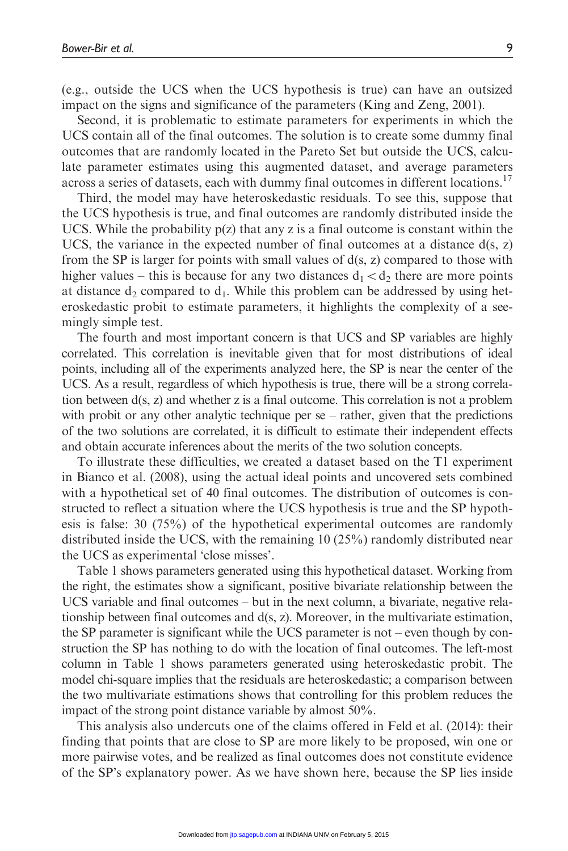(e.g., outside the UCS when the UCS hypothesis is true) can have an outsized impact on the signs and significance of the parameters (King and Zeng, 2001).

Second, it is problematic to estimate parameters for experiments in which the UCS contain all of the final outcomes. The solution is to create some dummy final outcomes that are randomly located in the Pareto Set but outside the UCS, calculate parameter estimates using this augmented dataset, and average parameters across a series of datasets, each with dummy final outcomes in different locations.17

Third, the model may have heteroskedastic residuals. To see this, suppose that the UCS hypothesis is true, and final outcomes are randomly distributed inside the UCS. While the probability  $p(z)$  that any z is a final outcome is constant within the UCS, the variance in the expected number of final outcomes at a distance  $d(s, z)$ from the SP is larger for points with small values of  $d(s, z)$  compared to those with higher values – this is because for any two distances  $d_1 < d_2$  there are more points at distance  $d_2$  compared to  $d_1$ . While this problem can be addressed by using heteroskedastic probit to estimate parameters, it highlights the complexity of a seemingly simple test.

The fourth and most important concern is that UCS and SP variables are highly correlated. This correlation is inevitable given that for most distributions of ideal points, including all of the experiments analyzed here, the SP is near the center of the UCS. As a result, regardless of which hypothesis is true, there will be a strong correlation between d(s, z) and whether z is a final outcome. This correlation is not a problem with probit or any other analytic technique per se – rather, given that the predictions of the two solutions are correlated, it is difficult to estimate their independent effects and obtain accurate inferences about the merits of the two solution concepts.

To illustrate these difficulties, we created a dataset based on the T1 experiment in Bianco et al. (2008), using the actual ideal points and uncovered sets combined with a hypothetical set of 40 final outcomes. The distribution of outcomes is constructed to reflect a situation where the UCS hypothesis is true and the SP hypothesis is false: 30 (75%) of the hypothetical experimental outcomes are randomly distributed inside the UCS, with the remaining  $10 (25%)$  randomly distributed near the UCS as experimental 'close misses'.

Table 1 shows parameters generated using this hypothetical dataset. Working from the right, the estimates show a significant, positive bivariate relationship between the UCS variable and final outcomes – but in the next column, a bivariate, negative relationship between final outcomes and d(s, z). Moreover, in the multivariate estimation, the SP parameter is significant while the UCS parameter is not – even though by construction the SP has nothing to do with the location of final outcomes. The left-most column in Table 1 shows parameters generated using heteroskedastic probit. The model chi-square implies that the residuals are heteroskedastic; a comparison between the two multivariate estimations shows that controlling for this problem reduces the impact of the strong point distance variable by almost 50%.

This analysis also undercuts one of the claims offered in Feld et al. (2014): their finding that points that are close to SP are more likely to be proposed, win one or more pairwise votes, and be realized as final outcomes does not constitute evidence of the SP's explanatory power. As we have shown here, because the SP lies inside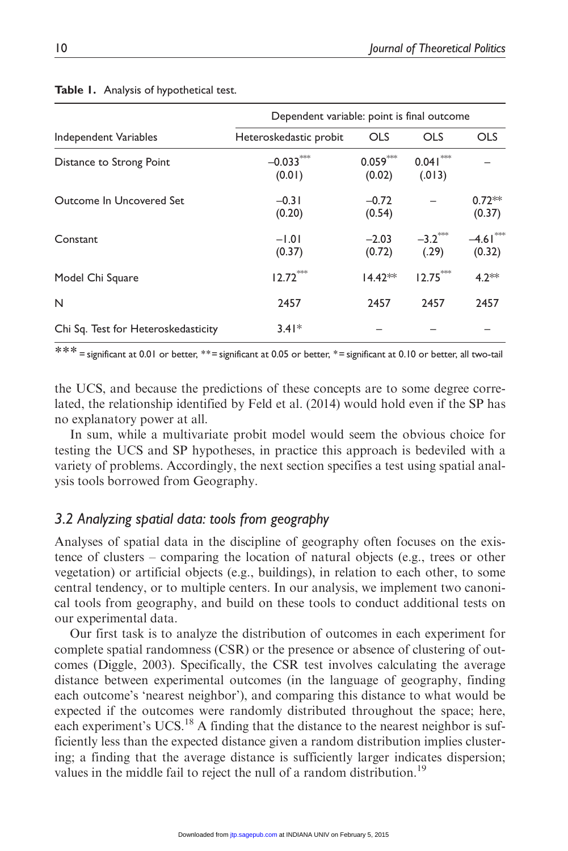|                                     | Dependent variable: point is final outcome |                   |                                |                                  |
|-------------------------------------|--------------------------------------------|-------------------|--------------------------------|----------------------------------|
| Independent Variables               | Heteroskedastic probit                     | <b>OLS</b>        | <b>OLS</b>                     | <b>OLS</b>                       |
| Distance to Strong Point            | $-0.033$ <sup>****</sup><br>(0.01)         | 0.059<br>(0.02)   | 0.041<br>(.013)                |                                  |
| Outcome In Uncovered Set            | $-0.31$<br>(0.20)                          | $-0.72$<br>(0.54) |                                | $0.72**$<br>(0.37)               |
| Constant                            | $-1.01$<br>(0.37)                          | $-2.03$<br>(0.72) | $-3.2$ <sup>***</sup><br>(.29) | $-4.61$ <sup>***</sup><br>(0.32) |
| Model Chi Square                    | 12.72                                      | $14.42**$         | 12.75                          | $4.2**$                          |
| N                                   | 2457                                       | 2457              | 2457                           | 2457                             |
| Chi Sq. Test for Heteroskedasticity | $3.41*$                                    |                   |                                |                                  |

#### Table 1. Analysis of hypothetical test.

\*\*\* = significant at 0.01 or better, \*\*= significant at 0.05 or better, \*= significant at 0.10 or better, all two-tail

the UCS, and because the predictions of these concepts are to some degree correlated, the relationship identified by Feld et al. (2014) would hold even if the SP has no explanatory power at all.

In sum, while a multivariate probit model would seem the obvious choice for testing the UCS and SP hypotheses, in practice this approach is bedeviled with a variety of problems. Accordingly, the next section specifies a test using spatial analysis tools borrowed from Geography.

### 3.2 Analyzing spatial data: tools from geography

Analyses of spatial data in the discipline of geography often focuses on the existence of clusters – comparing the location of natural objects (e.g., trees or other vegetation) or artificial objects (e.g., buildings), in relation to each other, to some central tendency, or to multiple centers. In our analysis, we implement two canonical tools from geography, and build on these tools to conduct additional tests on our experimental data.

Our first task is to analyze the distribution of outcomes in each experiment for complete spatial randomness (CSR) or the presence or absence of clustering of outcomes (Diggle, 2003). Specifically, the CSR test involves calculating the average distance between experimental outcomes (in the language of geography, finding each outcome's 'nearest neighbor'), and comparing this distance to what would be expected if the outcomes were randomly distributed throughout the space; here, each experiment's UCS.<sup>18</sup> A finding that the distance to the nearest neighbor is sufficiently less than the expected distance given a random distribution implies clustering; a finding that the average distance is sufficiently larger indicates dispersion; values in the middle fail to reject the null of a random distribution.<sup>19</sup>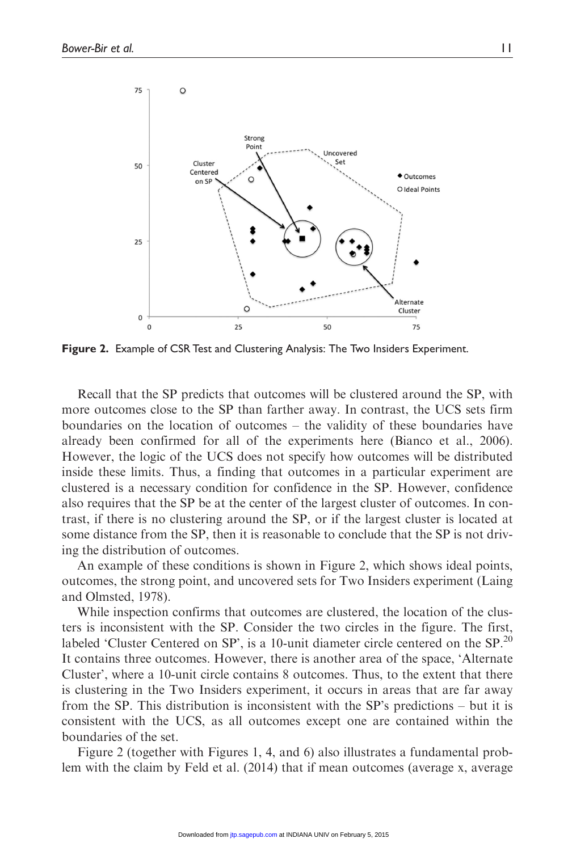

Figure 2. Example of CSR Test and Clustering Analysis: The Two Insiders Experiment.

Recall that the SP predicts that outcomes will be clustered around the SP, with more outcomes close to the SP than farther away. In contrast, the UCS sets firm boundaries on the location of outcomes – the validity of these boundaries have already been confirmed for all of the experiments here (Bianco et al., 2006). However, the logic of the UCS does not specify how outcomes will be distributed inside these limits. Thus, a finding that outcomes in a particular experiment are clustered is a necessary condition for confidence in the SP. However, confidence also requires that the SP be at the center of the largest cluster of outcomes. In contrast, if there is no clustering around the SP, or if the largest cluster is located at some distance from the SP, then it is reasonable to conclude that the SP is not driving the distribution of outcomes.

An example of these conditions is shown in Figure 2, which shows ideal points, outcomes, the strong point, and uncovered sets for Two Insiders experiment (Laing and Olmsted, 1978).

While inspection confirms that outcomes are clustered, the location of the clusters is inconsistent with the SP. Consider the two circles in the figure. The first, labeled 'Cluster Centered on SP', is a 10-unit diameter circle centered on the  $SP^{20}$ It contains three outcomes. However, there is another area of the space, 'Alternate Cluster', where a 10-unit circle contains 8 outcomes. Thus, to the extent that there is clustering in the Two Insiders experiment, it occurs in areas that are far away from the SP. This distribution is inconsistent with the SP's predictions – but it is consistent with the UCS, as all outcomes except one are contained within the boundaries of the set.

Figure 2 (together with Figures 1, 4, and 6) also illustrates a fundamental problem with the claim by Feld et al. (2014) that if mean outcomes (average x, average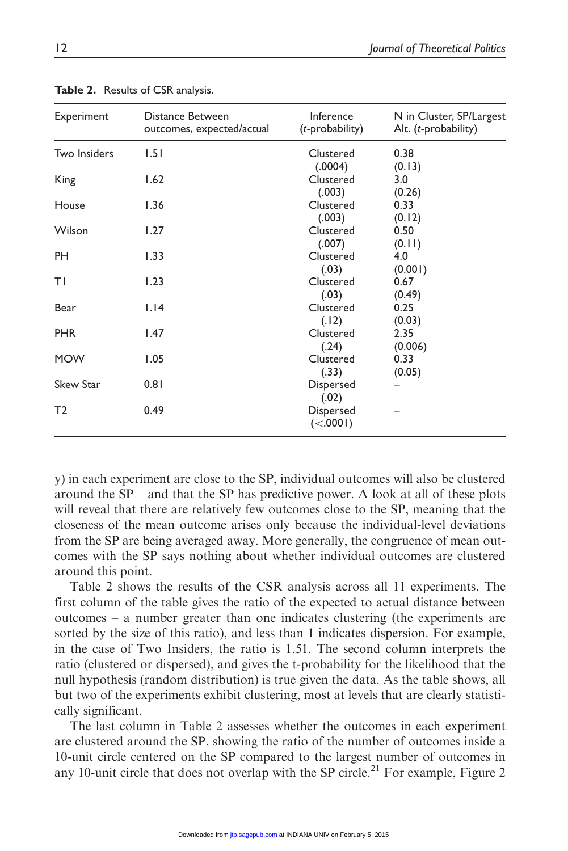| Experiment       | Distance Between<br>outcomes, expected/actual | Inference<br>(t-probability)  | N in Cluster, SP/Largest<br>Alt. (t-probability) |
|------------------|-----------------------------------------------|-------------------------------|--------------------------------------------------|
| Two Insiders     | 1.51                                          | Clustered<br>(.0004)          | 0.38<br>(0.13)                                   |
| King             | 1.62                                          | Clustered                     | 3.0                                              |
| House            | 1.36                                          | (.003)<br>Clustered<br>(.003) | (0.26)<br>0.33<br>(0.12)                         |
| Wilson           | 1.27                                          | Clustered<br>(.007)           | 0.50<br>(0.11)                                   |
| <b>PH</b>        | 1.33                                          | Clustered<br>(.03)            | 4.0<br>(0.001)                                   |
| ΤI               | 1.23                                          | Clustered<br>(.03)            | 0.67<br>(0.49)                                   |
| Bear             | 1.14                                          | Clustered<br>(.12)            | 0.25<br>(0.03)                                   |
| <b>PHR</b>       | 1.47                                          | Clustered                     | 2.35                                             |
| <b>MOW</b>       | 1.05                                          | (.24)<br>Clustered<br>(.33)   | (0.006)<br>0.33<br>(0.05)                        |
| <b>Skew Star</b> | 0.81                                          | Dispersed<br>(.02)            |                                                  |
| T <sub>2</sub>   | 0.49                                          | <b>Dispersed</b><br>(<.0001)  |                                                  |

Table 2. Results of CSR analysis.

y) in each experiment are close to the SP, individual outcomes will also be clustered around the  $SP -$  and that the SP has predictive power. A look at all of these plots will reveal that there are relatively few outcomes close to the SP, meaning that the closeness of the mean outcome arises only because the individual-level deviations from the SP are being averaged away. More generally, the congruence of mean outcomes with the SP says nothing about whether individual outcomes are clustered around this point.

Table 2 shows the results of the CSR analysis across all 11 experiments. The first column of the table gives the ratio of the expected to actual distance between outcomes – a number greater than one indicates clustering (the experiments are sorted by the size of this ratio), and less than 1 indicates dispersion. For example, in the case of Two Insiders, the ratio is 1.51. The second column interprets the ratio (clustered or dispersed), and gives the t-probability for the likelihood that the null hypothesis (random distribution) is true given the data. As the table shows, all but two of the experiments exhibit clustering, most at levels that are clearly statistically significant.

The last column in Table 2 assesses whether the outcomes in each experiment are clustered around the SP, showing the ratio of the number of outcomes inside a 10-unit circle centered on the SP compared to the largest number of outcomes in any 10-unit circle that does not overlap with the SP circle.<sup>21</sup> For example, Figure 2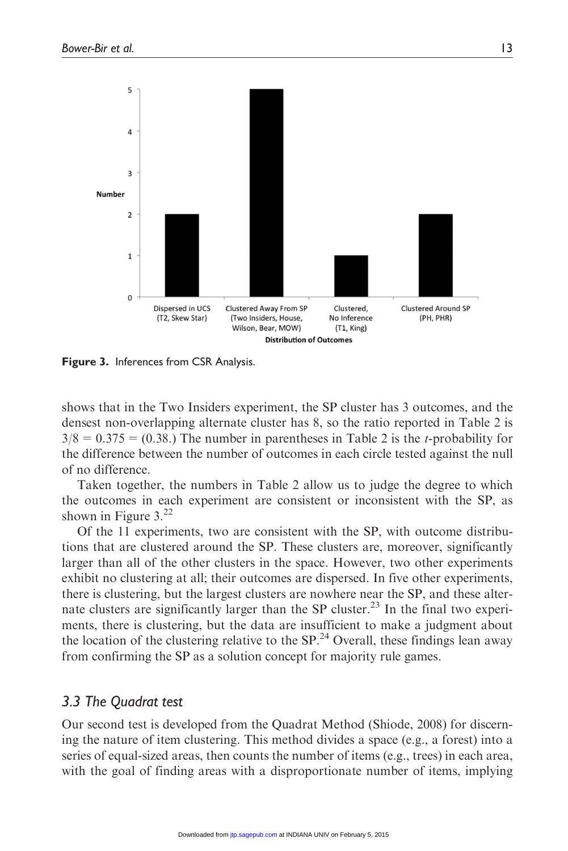

Figure 3. Inferences from CSR Analysis.

shows that in the Two Insiders experiment, the SP cluster has 3 outcomes, and the densest non-overlapping alternate cluster has 8, so the ratio reported in Table 2 is  $3/8 = 0.375 = (0.38)$ . The number in parentheses in Table 2 is the t-probability for the difference between the number of outcomes in each circle tested against the null of no difference.

Taken together, the numbers in Table 2 allow us to judge the degree to which the outcomes in each experiment are consistent or inconsistent with the SP, as shown in Figure  $3.^{22}$ 

Of the 11 experiments, two are consistent with the SP, with outcome distributions that are clustered around the SP. These clusters are, moreover, significantly larger than all of the other clusters in the space. However, two other experiments exhibit no clustering at all; their outcomes are dispersed. In five other experiments, there is clustering, but the largest clusters are nowhere near the SP, and these alternate clusters are significantly larger than the SP cluster.<sup>23</sup> In the final two experiments, there is clustering, but the data are insufficient to make a judgment about the location of the clustering relative to the  $SP<sup>24</sup>$  Overall, these findings lean away from confirming the SP as a solution concept for majority rule games.

#### 3.3 The Quadrat test

Our second test is developed from the Quadrat Method (Shiode, 2008) for discerning the nature of item clustering. This method divides a space (e.g., a forest) into a series of equal-sized areas, then counts the number of items (e.g., trees) in each area, with the goal of finding areas with a disproportionate number of items, implying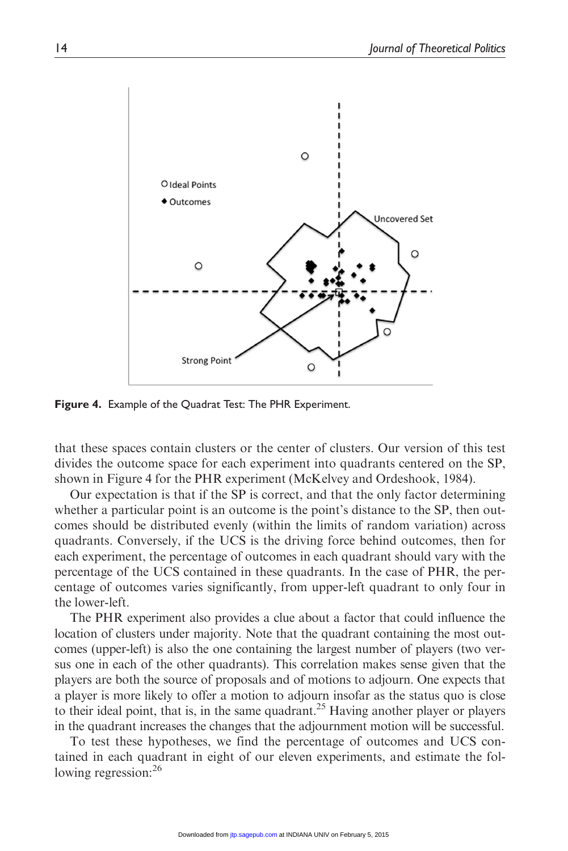

Figure 4. Example of the Quadrat Test: The PHR Experiment.

that these spaces contain clusters or the center of clusters. Our version of this test divides the outcome space for each experiment into quadrants centered on the SP, shown in Figure 4 for the PHR experiment (McKelvey and Ordeshook, 1984).

Our expectation is that if the SP is correct, and that the only factor determining whether a particular point is an outcome is the point's distance to the SP, then outcomes should be distributed evenly (within the limits of random variation) across quadrants. Conversely, if the UCS is the driving force behind outcomes, then for each experiment, the percentage of outcomes in each quadrant should vary with the percentage of the UCS contained in these quadrants. In the case of PHR, the percentage of outcomes varies significantly, from upper-left quadrant to only four in the lower-left.

The PHR experiment also provides a clue about a factor that could influence the location of clusters under majority. Note that the quadrant containing the most outcomes (upper-left) is also the one containing the largest number of players (two versus one in each of the other quadrants). This correlation makes sense given that the players are both the source of proposals and of motions to adjourn. One expects that a player is more likely to offer a motion to adjourn insofar as the status quo is close to their ideal point, that is, in the same quadrant.<sup>25</sup> Having another player or players in the quadrant increases the changes that the adjournment motion will be successful.

To test these hypotheses, we find the percentage of outcomes and UCS contained in each quadrant in eight of our eleven experiments, and estimate the following regression:<sup>26</sup>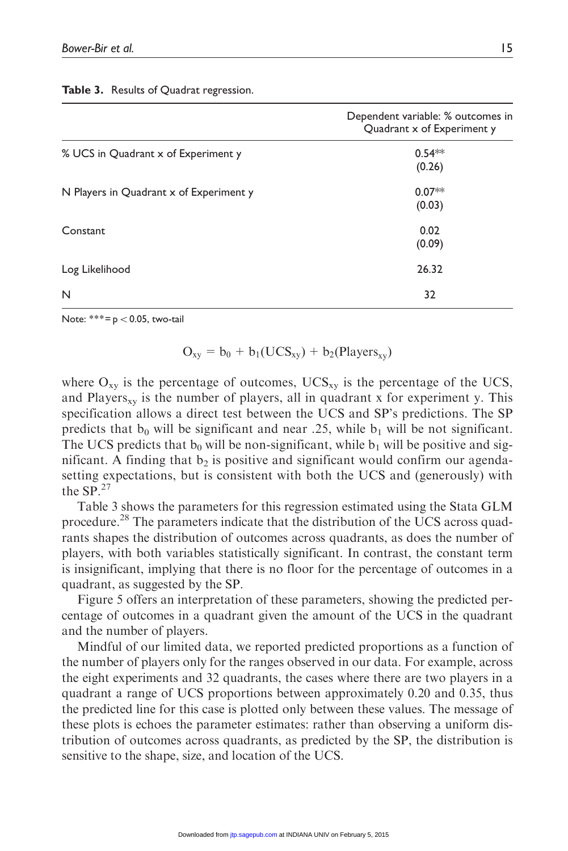|                                         | Dependent variable: % outcomes in<br>Quadrant x of Experiment y |
|-----------------------------------------|-----------------------------------------------------------------|
| % UCS in Quadrant x of Experiment y     | $0.54**$<br>(0.26)                                              |
| N Players in Quadrant x of Experiment y | $0.07**$<br>(0.03)                                              |
| Constant                                | 0.02<br>(0.09)                                                  |
| Log Likelihood                          | 26.32                                                           |
| N                                       | 32                                                              |

#### Table 3. Results of Ouadrat regression.

Note:  $***= p < 0.05$ , two-tail

$$
O_{xy} = b_0 + b_1(UCS_{xy}) + b_2(Players_{xy})
$$

where  $O_{xy}$  is the percentage of outcomes,  $UCS_{xy}$  is the percentage of the UCS, and Players<sub>xy</sub> is the number of players, all in quadrant x for experiment y. This specification allows a direct test between the UCS and SP's predictions. The SP predicts that  $b_0$  will be significant and near .25, while  $b_1$  will be not significant. The UCS predicts that  $b_0$  will be non-significant, while  $b_1$  will be positive and significant. A finding that  $b_2$  is positive and significant would confirm our agendasetting expectations, but is consistent with both the UCS and (generously) with the SP.<sup>27</sup>

Table 3 shows the parameters for this regression estimated using the Stata GLM procedure.28 The parameters indicate that the distribution of the UCS across quadrants shapes the distribution of outcomes across quadrants, as does the number of players, with both variables statistically significant. In contrast, the constant term is insignificant, implying that there is no floor for the percentage of outcomes in a quadrant, as suggested by the SP.

Figure 5 offers an interpretation of these parameters, showing the predicted percentage of outcomes in a quadrant given the amount of the UCS in the quadrant and the number of players.

Mindful of our limited data, we reported predicted proportions as a function of the number of players only for the ranges observed in our data. For example, across the eight experiments and 32 quadrants, the cases where there are two players in a quadrant a range of UCS proportions between approximately 0.20 and 0.35, thus the predicted line for this case is plotted only between these values. The message of these plots is echoes the parameter estimates: rather than observing a uniform distribution of outcomes across quadrants, as predicted by the SP, the distribution is sensitive to the shape, size, and location of the UCS.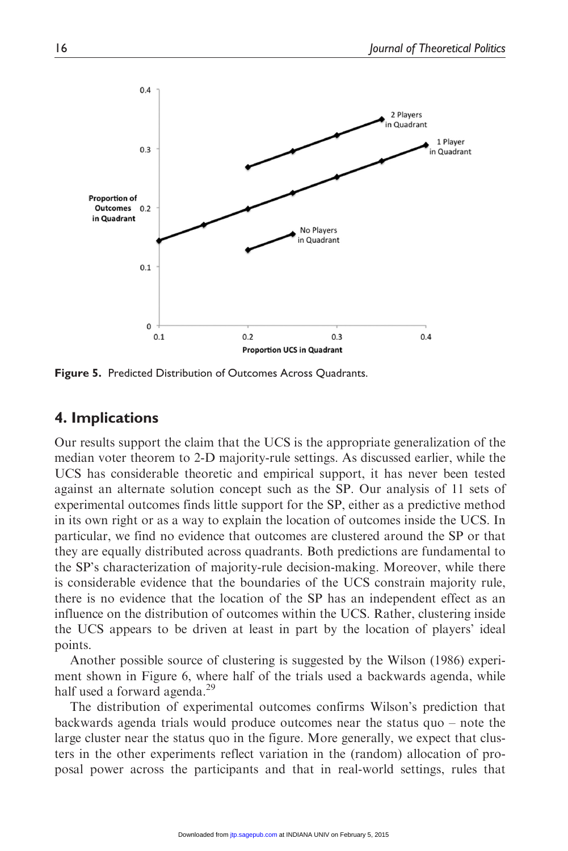

**Figure 5.** Predicted Distribution of Outcomes Across Quadrants.

#### 4. Implications

Our results support the claim that the UCS is the appropriate generalization of the median voter theorem to 2-D majority-rule settings. As discussed earlier, while the UCS has considerable theoretic and empirical support, it has never been tested against an alternate solution concept such as the SP. Our analysis of 11 sets of experimental outcomes finds little support for the SP, either as a predictive method in its own right or as a way to explain the location of outcomes inside the UCS. In particular, we find no evidence that outcomes are clustered around the SP or that they are equally distributed across quadrants. Both predictions are fundamental to the SP's characterization of majority-rule decision-making. Moreover, while there is considerable evidence that the boundaries of the UCS constrain majority rule, there is no evidence that the location of the SP has an independent effect as an influence on the distribution of outcomes within the UCS. Rather, clustering inside the UCS appears to be driven at least in part by the location of players' ideal points.

Another possible source of clustering is suggested by the Wilson (1986) experiment shown in Figure 6, where half of the trials used a backwards agenda, while half used a forward agenda.<sup>29</sup>

The distribution of experimental outcomes confirms Wilson's prediction that backwards agenda trials would produce outcomes near the status quo – note the large cluster near the status quo in the figure. More generally, we expect that clusters in the other experiments reflect variation in the (random) allocation of proposal power across the participants and that in real-world settings, rules that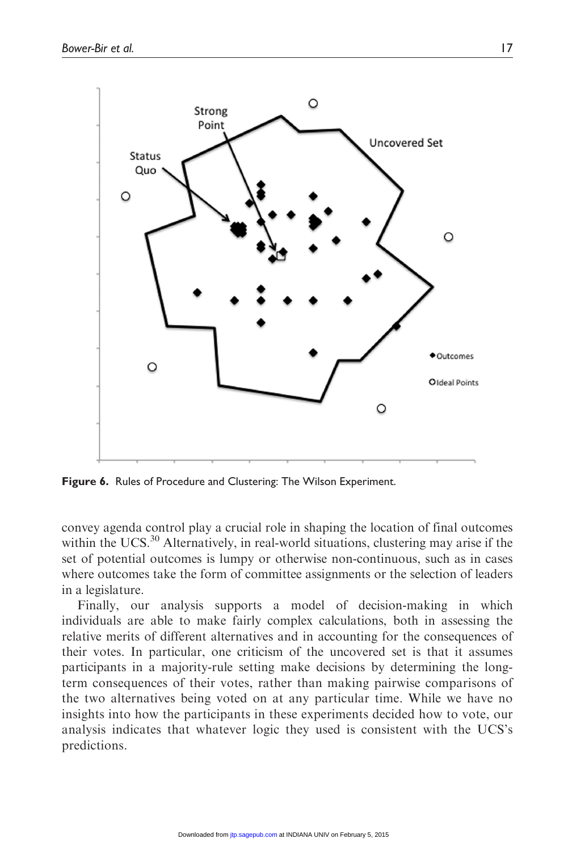

Figure 6. Rules of Procedure and Clustering: The Wilson Experiment.

convey agenda control play a crucial role in shaping the location of final outcomes within the UCS.<sup>30</sup> Alternatively, in real-world situations, clustering may arise if the set of potential outcomes is lumpy or otherwise non-continuous, such as in cases where outcomes take the form of committee assignments or the selection of leaders in a legislature.

Finally, our analysis supports a model of decision-making in which individuals are able to make fairly complex calculations, both in assessing the relative merits of different alternatives and in accounting for the consequences of their votes. In particular, one criticism of the uncovered set is that it assumes participants in a majority-rule setting make decisions by determining the longterm consequences of their votes, rather than making pairwise comparisons of the two alternatives being voted on at any particular time. While we have no insights into how the participants in these experiments decided how to vote, our analysis indicates that whatever logic they used is consistent with the UCS's predictions.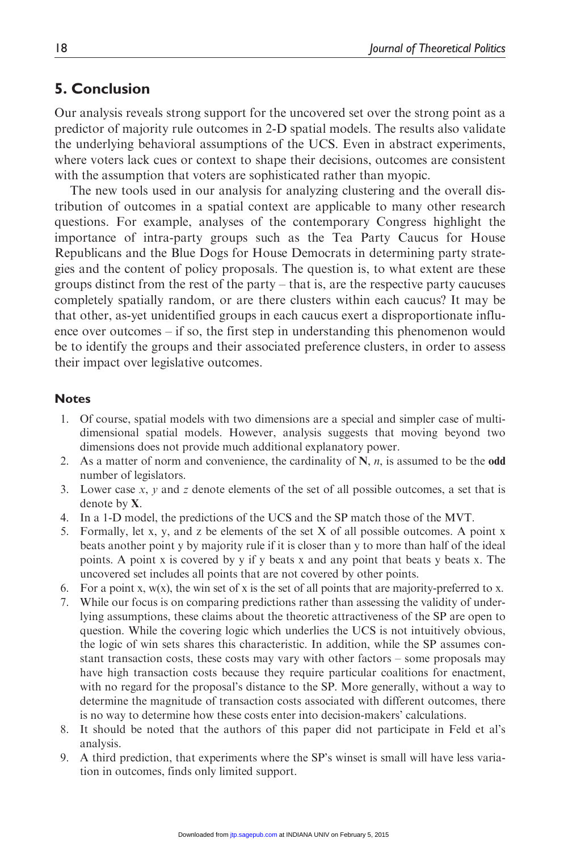### 5. Conclusion

Our analysis reveals strong support for the uncovered set over the strong point as a predictor of majority rule outcomes in 2-D spatial models. The results also validate the underlying behavioral assumptions of the UCS. Even in abstract experiments, where voters lack cues or context to shape their decisions, outcomes are consistent with the assumption that voters are sophisticated rather than myopic.

The new tools used in our analysis for analyzing clustering and the overall distribution of outcomes in a spatial context are applicable to many other research questions. For example, analyses of the contemporary Congress highlight the importance of intra-party groups such as the Tea Party Caucus for House Republicans and the Blue Dogs for House Democrats in determining party strategies and the content of policy proposals. The question is, to what extent are these groups distinct from the rest of the party – that is, are the respective party caucuses completely spatially random, or are there clusters within each caucus? It may be that other, as-yet unidentified groups in each caucus exert a disproportionate influence over outcomes – if so, the first step in understanding this phenomenon would be to identify the groups and their associated preference clusters, in order to assess their impact over legislative outcomes.

#### **Notes**

- 1. Of course, spatial models with two dimensions are a special and simpler case of multidimensional spatial models. However, analysis suggests that moving beyond two dimensions does not provide much additional explanatory power.
- 2. As a matter of norm and convenience, the cardinality of  $N$ ,  $n$ , is assumed to be the odd number of legislators.
- 3. Lower case  $x$ ,  $y$  and  $z$  denote elements of the set of all possible outcomes, a set that is denote by X.
- 4. In a 1-D model, the predictions of the UCS and the SP match those of the MVT.
- 5. Formally, let x, y, and z be elements of the set X of all possible outcomes. A point x beats another point y by majority rule if it is closer than y to more than half of the ideal points. A point x is covered by y if y beats x and any point that beats y beats x. The uncovered set includes all points that are not covered by other points.
- 6. For a point x,  $w(x)$ , the win set of x is the set of all points that are majority-preferred to x.
- 7. While our focus is on comparing predictions rather than assessing the validity of underlying assumptions, these claims about the theoretic attractiveness of the SP are open to question. While the covering logic which underlies the UCS is not intuitively obvious, the logic of win sets shares this characteristic. In addition, while the SP assumes constant transaction costs, these costs may vary with other factors – some proposals may have high transaction costs because they require particular coalitions for enactment, with no regard for the proposal's distance to the SP. More generally, without a way to determine the magnitude of transaction costs associated with different outcomes, there is no way to determine how these costs enter into decision-makers' calculations.
- 8. It should be noted that the authors of this paper did not participate in Feld et al's analysis.
- 9. A third prediction, that experiments where the SP's winset is small will have less variation in outcomes, finds only limited support.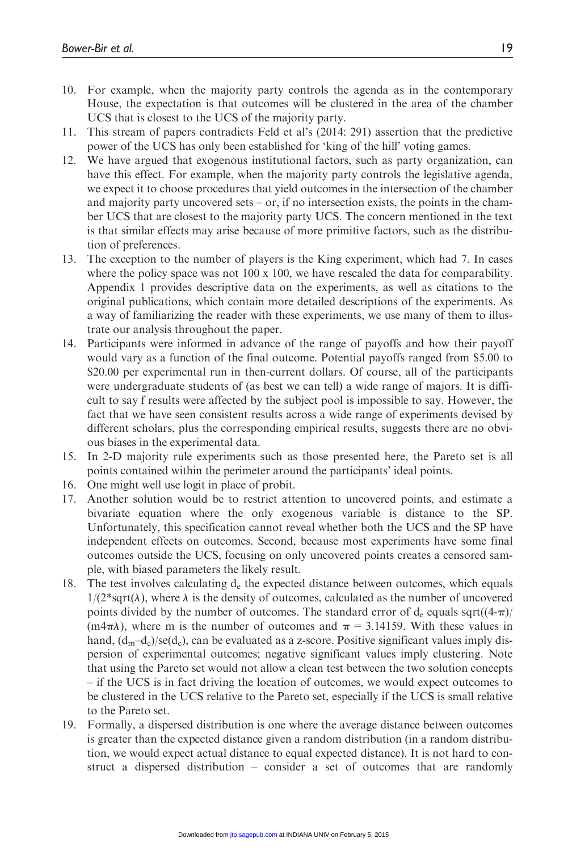- 10. For example, when the majority party controls the agenda as in the contemporary House, the expectation is that outcomes will be clustered in the area of the chamber UCS that is closest to the UCS of the majority party.
- 11. This stream of papers contradicts Feld et al's (2014: 291) assertion that the predictive power of the UCS has only been established for 'king of the hill' voting games.
- 12. We have argued that exogenous institutional factors, such as party organization, can have this effect. For example, when the majority party controls the legislative agenda, we expect it to choose procedures that yield outcomes in the intersection of the chamber and majority party uncovered sets  $-$  or, if no intersection exists, the points in the chamber UCS that are closest to the majority party UCS. The concern mentioned in the text is that similar effects may arise because of more primitive factors, such as the distribution of preferences.
- 13. The exception to the number of players is the King experiment, which had 7. In cases where the policy space was not  $100 \times 100$ , we have rescaled the data for comparability. Appendix 1 provides descriptive data on the experiments, as well as citations to the original publications, which contain more detailed descriptions of the experiments. As a way of familiarizing the reader with these experiments, we use many of them to illustrate our analysis throughout the paper.
- 14. Participants were informed in advance of the range of payoffs and how their payoff would vary as a function of the final outcome. Potential payoffs ranged from \$5.00 to \$20.00 per experimental run in then-current dollars. Of course, all of the participants were undergraduate students of (as best we can tell) a wide range of majors. It is difficult to say f results were affected by the subject pool is impossible to say. However, the fact that we have seen consistent results across a wide range of experiments devised by different scholars, plus the corresponding empirical results, suggests there are no obvious biases in the experimental data.
- 15. In 2-D majority rule experiments such as those presented here, the Pareto set is all points contained within the perimeter around the participants' ideal points.
- 16. One might well use logit in place of probit.
- 17. Another solution would be to restrict attention to uncovered points, and estimate a bivariate equation where the only exogenous variable is distance to the SP. Unfortunately, this specification cannot reveal whether both the UCS and the SP have independent effects on outcomes. Second, because most experiments have some final outcomes outside the UCS, focusing on only uncovered points creates a censored sample, with biased parameters the likely result.
- 18. The test involves calculating  $d_e$  the expected distance between outcomes, which equals  $1/(2^*sqrt(\lambda))$ , where  $\lambda$  is the density of outcomes, calculated as the number of uncovered points divided by the number of outcomes. The standard error of  $d_e$  equals sqrt( $(4-\pi)$ / (m4 $\pi\lambda$ ), where m is the number of outcomes and  $\pi = 3.14159$ . With these values in hand,  $(d_m-d_e)/se(d_e)$ , can be evaluated as a z-score. Positive significant values imply dispersion of experimental outcomes; negative significant values imply clustering. Note that using the Pareto set would not allow a clean test between the two solution concepts – if the UCS is in fact driving the location of outcomes, we would expect outcomes to be clustered in the UCS relative to the Pareto set, especially if the UCS is small relative to the Pareto set.
- 19. Formally, a dispersed distribution is one where the average distance between outcomes is greater than the expected distance given a random distribution (in a random distribution, we would expect actual distance to equal expected distance). It is not hard to construct a dispersed distribution – consider a set of outcomes that are randomly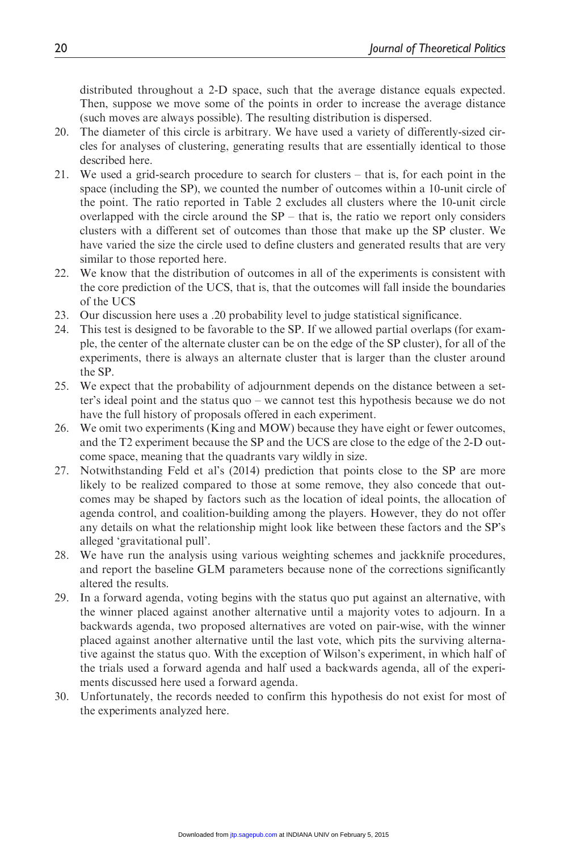distributed throughout a 2-D space, such that the average distance equals expected. Then, suppose we move some of the points in order to increase the average distance (such moves are always possible). The resulting distribution is dispersed.

- 20. The diameter of this circle is arbitrary. We have used a variety of differently-sized circles for analyses of clustering, generating results that are essentially identical to those described here.
- 21. We used a grid-search procedure to search for clusters that is, for each point in the space (including the SP), we counted the number of outcomes within a 10-unit circle of the point. The ratio reported in Table 2 excludes all clusters where the 10-unit circle overlapped with the circle around the  $SP -$  that is, the ratio we report only considers clusters with a different set of outcomes than those that make up the SP cluster. We have varied the size the circle used to define clusters and generated results that are very similar to those reported here.
- 22. We know that the distribution of outcomes in all of the experiments is consistent with the core prediction of the UCS, that is, that the outcomes will fall inside the boundaries of the UCS
- 23. Our discussion here uses a .20 probability level to judge statistical significance.
- 24. This test is designed to be favorable to the SP. If we allowed partial overlaps (for example, the center of the alternate cluster can be on the edge of the SP cluster), for all of the experiments, there is always an alternate cluster that is larger than the cluster around the SP.
- 25. We expect that the probability of adjournment depends on the distance between a setter's ideal point and the status quo – we cannot test this hypothesis because we do not have the full history of proposals offered in each experiment.
- 26. We omit two experiments (King and MOW) because they have eight or fewer outcomes, and the T2 experiment because the SP and the UCS are close to the edge of the 2-D outcome space, meaning that the quadrants vary wildly in size.
- 27. Notwithstanding Feld et al's (2014) prediction that points close to the SP are more likely to be realized compared to those at some remove, they also concede that outcomes may be shaped by factors such as the location of ideal points, the allocation of agenda control, and coalition-building among the players. However, they do not offer any details on what the relationship might look like between these factors and the SP's alleged 'gravitational pull'.
- 28. We have run the analysis using various weighting schemes and jackknife procedures, and report the baseline GLM parameters because none of the corrections significantly altered the results.
- 29. In a forward agenda, voting begins with the status quo put against an alternative, with the winner placed against another alternative until a majority votes to adjourn. In a backwards agenda, two proposed alternatives are voted on pair-wise, with the winner placed against another alternative until the last vote, which pits the surviving alternative against the status quo. With the exception of Wilson's experiment, in which half of the trials used a forward agenda and half used a backwards agenda, all of the experiments discussed here used a forward agenda.
- 30. Unfortunately, the records needed to confirm this hypothesis do not exist for most of the experiments analyzed here.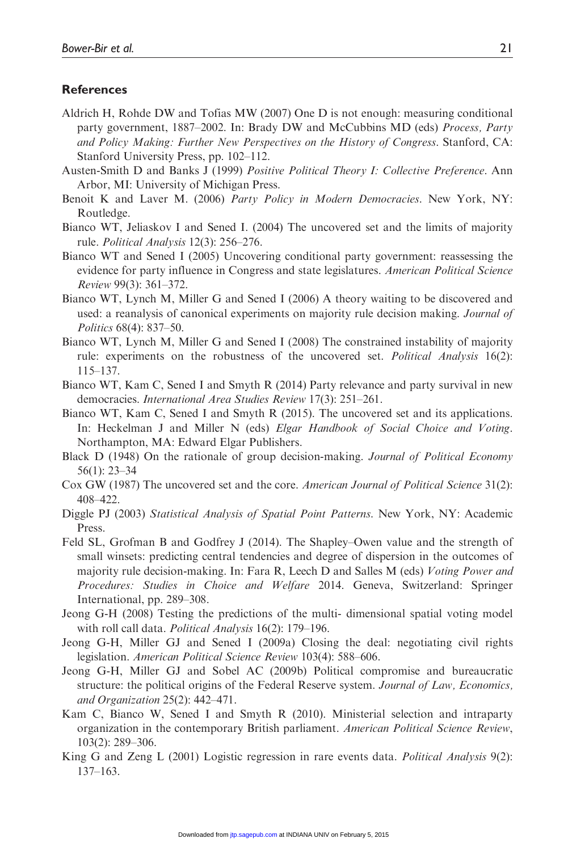#### References

- Aldrich H, Rohde DW and Tofias MW (2007) One D is not enough: measuring conditional party government, 1887–2002. In: Brady DW and McCubbins MD (eds) Process, Party and Policy Making: Further New Perspectives on the History of Congress. Stanford, CA: Stanford University Press, pp. 102–112.
- Austen-Smith D and Banks J (1999) Positive Political Theory I: Collective Preference. Ann Arbor, MI: University of Michigan Press.
- Benoit K and Laver M. (2006) Party Policy in Modern Democracies. New York, NY: Routledge.
- Bianco WT, Jeliaskov I and Sened I. (2004) The uncovered set and the limits of majority rule. Political Analysis 12(3): 256–276.
- Bianco WT and Sened I (2005) Uncovering conditional party government: reassessing the evidence for party influence in Congress and state legislatures. American Political Science Review 99(3): 361–372.
- Bianco WT, Lynch M, Miller G and Sened I (2006) A theory waiting to be discovered and used: a reanalysis of canonical experiments on majority rule decision making. *Journal of* Politics 68(4): 837–50.
- Bianco WT, Lynch M, Miller G and Sened I (2008) The constrained instability of majority rule: experiments on the robustness of the uncovered set. Political Analysis 16(2): 115–137.
- Bianco WT, Kam C, Sened I and Smyth R (2014) Party relevance and party survival in new democracies. International Area Studies Review 17(3): 251–261.
- Bianco WT, Kam C, Sened I and Smyth R (2015). The uncovered set and its applications. In: Heckelman J and Miller N (eds) Elgar Handbook of Social Choice and Voting. Northampton, MA: Edward Elgar Publishers.
- Black D (1948) On the rationale of group decision-making. Journal of Political Economy 56(1): 23–34
- Cox GW (1987) The uncovered set and the core. American Journal of Political Science 31(2): 408–422.
- Diggle PJ (2003) Statistical Analysis of Spatial Point Patterns. New York, NY: Academic Press.
- Feld SL, Grofman B and Godfrey J (2014). The Shapley–Owen value and the strength of small winsets: predicting central tendencies and degree of dispersion in the outcomes of majority rule decision-making. In: Fara R, Leech D and Salles M (eds) Voting Power and Procedures: Studies in Choice and Welfare 2014. Geneva, Switzerland: Springer International, pp. 289–308.
- Jeong G-H (2008) Testing the predictions of the multi- dimensional spatial voting model with roll call data. *Political Analysis* 16(2): 179–196.
- Jeong G-H, Miller GJ and Sened I (2009a) Closing the deal: negotiating civil rights legislation. American Political Science Review 103(4): 588–606.
- Jeong G-H, Miller GJ and Sobel AC (2009b) Political compromise and bureaucratic structure: the political origins of the Federal Reserve system. Journal of Law, Economics, and Organization 25(2): 442–471.
- Kam C, Bianco W, Sened I and Smyth R (2010). Ministerial selection and intraparty organization in the contemporary British parliament. American Political Science Review, 103(2): 289–306.
- King G and Zeng L (2001) Logistic regression in rare events data. Political Analysis 9(2): 137–163.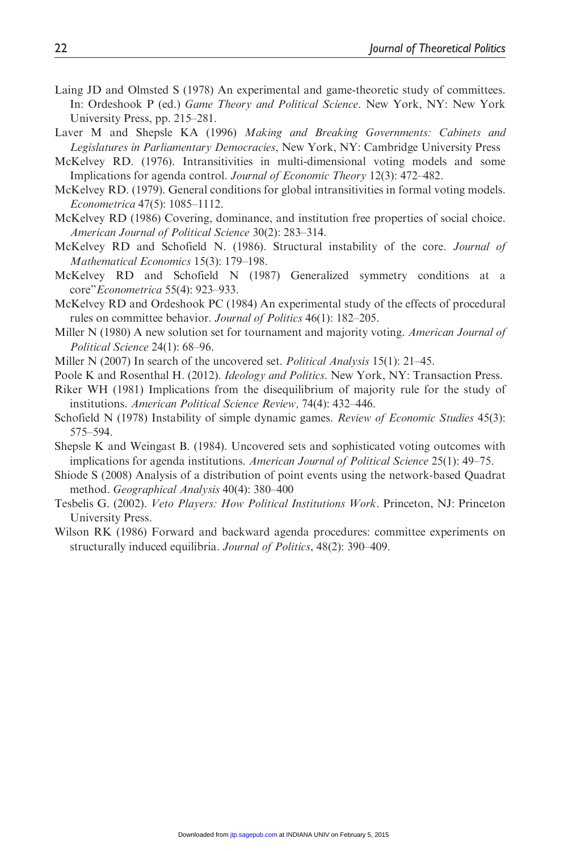- Laing JD and Olmsted S (1978) An experimental and game-theoretic study of committees. In: Ordeshook P (ed.) Game Theory and Political Science. New York, NY: New York University Press, pp. 215–281.
- Laver M and Shepsle KA (1996) Making and Breaking Governments: Cabinets and Legislatures in Parliamentary Democracies, New York, NY: Cambridge University Press
- McKelvey RD. (1976). Intransitivities in multi-dimensional voting models and some Implications for agenda control. Journal of Economic Theory 12(3): 472–482.
- McKelvey RD. (1979). General conditions for global intransitivities in formal voting models. Econometrica 47(5): 1085–1112.
- McKelvey RD (1986) Covering, dominance, and institution free properties of social choice. American Journal of Political Science 30(2): 283–314.
- McKelvey RD and Schofield N. (1986). Structural instability of the core. Journal of Mathematical Economics 15(3): 179–198.
- McKelvey RD and Schofield N (1987) Generalized symmetry conditions at a core''Econometrica 55(4): 923–933.
- McKelvey RD and Ordeshook PC (1984) An experimental study of the effects of procedural rules on committee behavior. Journal of Politics 46(1): 182-205.
- Miller N (1980) A new solution set for tournament and majority voting. American Journal of Political Science 24(1): 68–96.
- Miller N (2007) In search of the uncovered set. Political Analysis 15(1): 21–45.
- Poole K and Rosenthal H. (2012). Ideology and Politics. New York, NY: Transaction Press.
- Riker WH (1981) Implications from the disequilibrium of majority rule for the study of institutions. American Political Science Review, 74(4): 432–446.
- Schofield N (1978) Instability of simple dynamic games. Review of Economic Studies 45(3): 575–594.
- Shepsle K and Weingast B. (1984). Uncovered sets and sophisticated voting outcomes with implications for agenda institutions. American Journal of Political Science 25(1): 49–75.
- Shiode S (2008) Analysis of a distribution of point events using the network-based Quadrat method. Geographical Analysis 40(4): 380–400
- Tesbelis G. (2002). Veto Players: How Political Institutions Work. Princeton, NJ: Princeton University Press.
- Wilson RK (1986) Forward and backward agenda procedures: committee experiments on structurally induced equilibria. Journal of Politics, 48(2): 390–409.